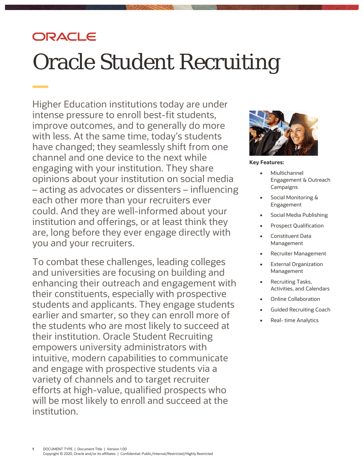# ORACLE

# Oracle Student Recruiting

 Higher Education institutions today are under with less. At the same time, today's students have changed; they seamlessly shift from one channel and one device to the next while engaging with your institution. They share opinions about your institution on social media – acting as advocates or dissenters – influencing each other more than your recruiters ever could. And they are well-informed about your are, long before they ever engage directly with you and your recruiters. intense pressure to enroll best-fit students, improve outcomes, and to generally do more institution and offerings, or at least think they

 To combat these challenges, leading colleges and universities are focusing on building and enhancing their outreach and engagement with their constituents, especially with prospective students and applicants. They engage students earlier and smarter, so they can enroll more of the students who are most likely to succeed at their institution. Oracle Student Recruiting empowers university administrators with and engage with prospective students via a variety of channels and to target recruiter efforts at high-value, qualified prospects who will be most likely to enroll and succeed at the intuitive, modern capabilities to communicate institution.



 **Key Features:** 

- Engagement & Outreach • Miultichannel **Campaigns**
- Social Monitoring & Engagement
- Social Media Publishing
- Prospect Qualification
- • Constituent Data Management
- Recruiter Management
- External Organization Management
- • Recruiting Tasks, Activities, and Calendars
- Online Collaboration
- Guided Recruiting Coach
- Real- time Analytics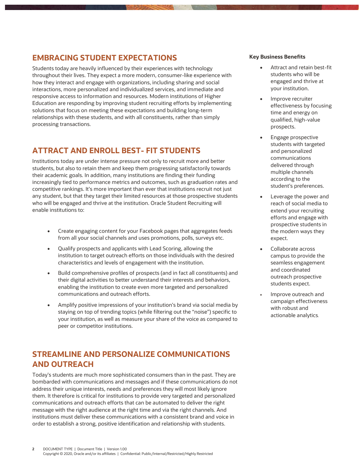## **EMBRACING STUDENT EXPECTATIONS**

 Students today are heavily influenced by their experiences with technology throughout their lives. They expect a more modern, consumer-like experience with how they interact and engage with organizations, including sharing and social responsive access to information and resources. Modern institutions of Higher Education are responding by improving student recruiting efforts by implementing solutions that focus on meeting these expectations and building long-term relationships with these students, and with all constituents, rather than simply interactions, more personalized and individualized services, and immediate and processing transactions.

## **ATTRACT AND ENROLL BEST- FIT STUDENTS**

 students, but also to retain them and keep them progressing satisfactorily towards their academic goals. In addition, many institutions are finding their funding competitive rankings. It's more important than ever that institutions recruit not just any student, but that they target their limited resources at those prospective students who will be engaged and thrive at the institution. Oracle Student Recruiting will Institutions today are under intense pressure not only to recruit more and better increasingly tied to performance metrics and outcomes, such as graduation rates and enable institutions to:

- • Create engaging content for your Facebook pages that aggregates feeds from all your social channels and uses promotions, polls, surveys etc.
- • Qualify prospects and applicants with Lead Scoring, allowing the characteristics and levels of engagement with the institution. institution to target outreach efforts on those individuals with the desired
- • Build comprehensive profiles of prospects (and in fact all constituents) and their digital activities to better understand their interests and behaviors, enabling the institution to create even more targeted and personalized communications and outreach efforts.
- • Amplify positive impressions of your institution's brand via social media by staying on top of trending topics (while filtering out the "noise") specific to your institution, as well as measure your share of the voice as compared to peer or competitor institutions.

# **STREAMLINE AND PERSONALIZE COMMUNICATIONS AND OUTREACH**

 Today's students are much more sophisticated consumers than in the past. They are bombarded with communications and messages and if these communications do not address their unique interests, needs and preferences they will most likely ignore them. It therefore is critical for institutions to provide very targeted and personalized communications and outreach efforts that can be automated to deliver the right message with the right audience at the right time and via the right channels. And order to establish a strong, positive identification and relationship with students. institutions must deliver these communications with a consistent brand and voice in

#### **Key Business Benefits**

- • Attract and retain best-fit students who will be engaged and thrive at your institution.
- time and energy on Improve recruiter effectiveness by focusing qualified, high-value prospects.
- students with targeted multiple channels according to the • Engage prospective and personalized communications delivered through student's preferences.
- reach of social media to extend your recruiting efforts and engage with prospective students in the modern ways they • Leverage the power and expect.
- • Collaborate across campus to provide the seamless engagement and coordinated outreach prospective students expect.
- with robust and • Improve outreach and campaign effectiveness actionable analytics*.*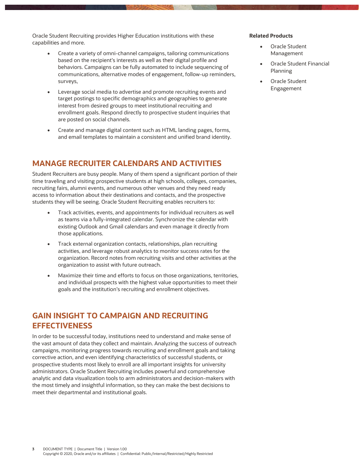Oracle Student Recruiting provides Higher Education institutions with these **Related Products**  capabilities and more. • Oracle Student

- • Create a variety of omni-channel campaigns, tailoring communications based on the recipient's interests as well as their digital profile and behaviors. Campaigns can be fully automated to include sequencing of communications, alternative modes of engagement, follow-up reminders, surveys,
- target postings to specific demographics and geographies to generate enrollment goals. Respond directly to prospective student inquiries that are posted on social channels. • Leverage social media to advertise and promote recruiting events and interest from desired groups to meet institutional recruiting and
- • Create and manage digital content such as HTML landing pages, forms, and email templates to maintain a consistent and unified brand identity.

#### **MANAGE RECRUITER CALENDARS AND ACTIVITIES**

 Student Recruiters are busy people. Many of them spend a significant portion of their time traveling and visiting prospective students at high schools, colleges, companies, recruiting fairs, alumni events, and numerous other venues and they need ready access to information about their destinations and contacts, and the prospective students they will be seeing. Oracle Student Recruiting enables recruiters to:

- • Track activities, events, and appointments for individual recruiters as well as teams via a fully-integrated calendar. Synchronize the calendar with existing Outlook and Gmail calendars and even manage it directly from those applications.
- • Track external organization contacts, relationships, plan recruiting activities, and leverage robust analytics to monitor success rates for the organization. Record notes from recruiting visits and other activities at the organization to assist with future outreach.
- • Maximize their time and efforts to focus on those organizations, territories, and individual prospects with the highest value opportunities to meet their goals and the institution's recruiting and enrollment objectives.

#### **GAIN INSIGHT TO CAMPAIGN AND RECRUITING EFFECTIVENESS**

 In order to be successful today, institutions need to understand and make sense of the vast amount of data they collect and maintain. Analyzing the success of outreach campaigns, monitoring progress towards recruiting and enrollment goals and taking corrective action, and even identifying characteristics of successful students, or prospective students most likely to enroll are all important insights for university administrators. Oracle Student Recruiting includes powerful and comprehensive analytic and data visualization tools to arm administrators and decision-makers with the most timely and insightful information, so they can make the best decisions to meet their departmental and institutional goals.

- Oracle Student Management
- • Oracle Student Financial Planning
- • Oracle Student Engagement